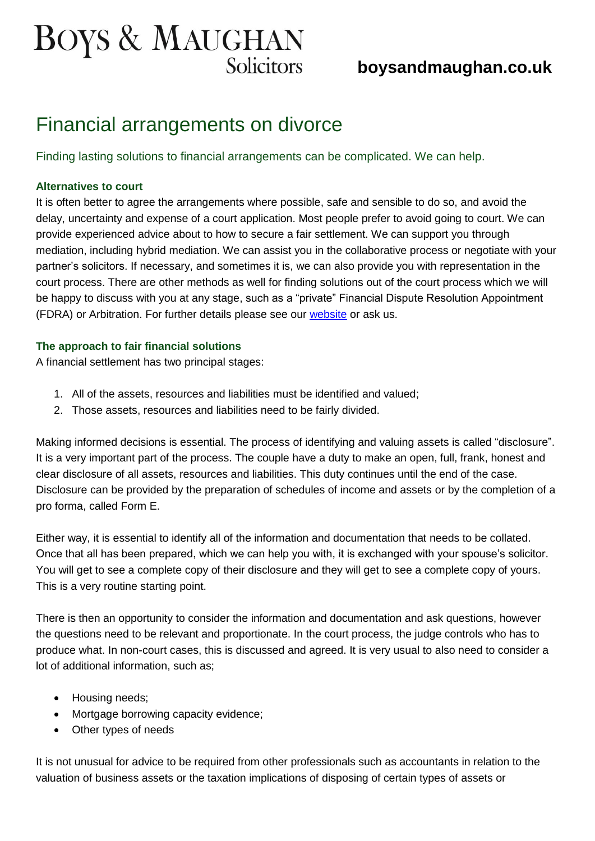# **BOYS & MAUGHAN**

## **boysandmaughan.co.uk**

## Financial arrangements on divorce

Finding lasting solutions to financial arrangements can be complicated. We can help.

#### **Alternatives to court**

It is often better to agree the arrangements where possible, safe and sensible to do so, and avoid the delay, uncertainty and expense of a court application. Most people prefer to avoid going to court. We can provide experienced advice about to how to secure a fair settlement. We can support you through mediation, including hybrid mediation. We can assist you in the collaborative process or negotiate with your partner's solicitors. If necessary, and sometimes it is, we can also provide you with representation in the court process. There are other methods as well for finding solutions out of the court process which we will be happy to discuss with you at any stage, such as a "private" Financial Dispute Resolution Appointment (FDRA) or Arbitration. For further details please see our [website](http://www.boysandmaughan.co.uk/site/personal_advice/family_law/) or ask us.

#### **The approach to fair financial solutions**

A financial settlement has two principal stages:

- 1. All of the assets, resources and liabilities must be identified and valued;
- 2. Those assets, resources and liabilities need to be fairly divided.

Making informed decisions is essential. The process of identifying and valuing assets is called "disclosure". It is a very important part of the process. The couple have a duty to make an open, full, frank, honest and clear disclosure of all assets, resources and liabilities. This duty continues until the end of the case. Disclosure can be provided by the preparation of schedules of income and assets or by the completion of a pro forma, called Form E.

Either way, it is essential to identify all of the information and documentation that needs to be collated. Once that all has been prepared, which we can help you with, it is exchanged with your spouse's solicitor. You will get to see a complete copy of their disclosure and they will get to see a complete copy of yours. This is a very routine starting point.

There is then an opportunity to consider the information and documentation and ask questions, however the questions need to be relevant and proportionate. In the court process, the judge controls who has to produce what. In non-court cases, this is discussed and agreed. It is very usual to also need to consider a lot of additional information, such as;

- Housing needs;
- Mortgage borrowing capacity evidence;
- Other types of needs

It is not unusual for advice to be required from other professionals such as accountants in relation to the valuation of business assets or the taxation implications of disposing of certain types of assets or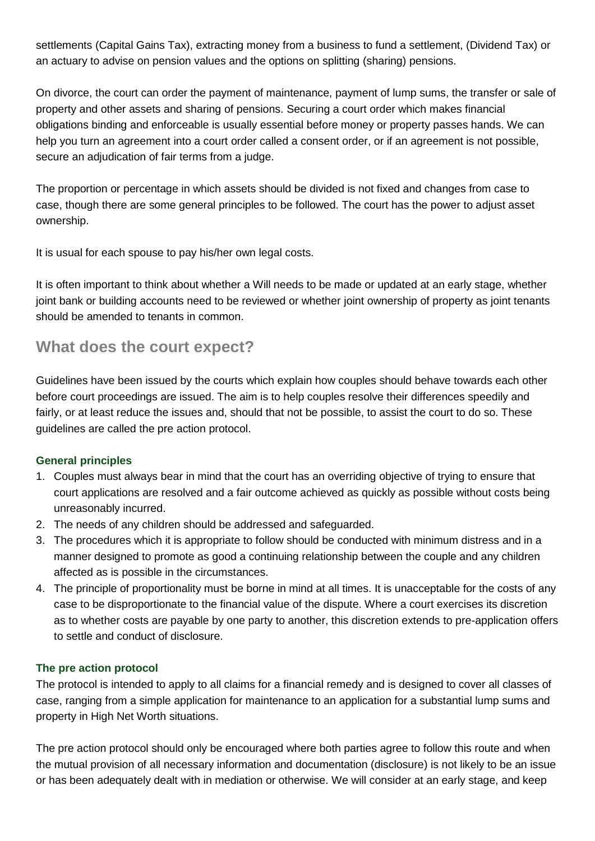settlements (Capital Gains Tax), extracting money from a business to fund a settlement, (Dividend Tax) or an actuary to advise on pension values and the options on splitting (sharing) pensions.

On divorce, the court can order the payment of maintenance, payment of lump sums, the transfer or sale of property and other assets and sharing of pensions. Securing a court order which makes financial obligations binding and enforceable is usually essential before money or property passes hands. We can help you turn an agreement into a court order called a consent order, or if an agreement is not possible, secure an adjudication of fair terms from a judge.

The proportion or percentage in which assets should be divided is not fixed and changes from case to case, though there are some general principles to be followed. The court has the power to adjust asset ownership.

It is usual for each spouse to pay his/her own legal costs.

It is often important to think about whether a Will needs to be made or updated at an early stage, whether joint bank or building accounts need to be reviewed or whether joint ownership of property as joint tenants should be amended to tenants in common.

### **What does the court expect?**

Guidelines have been issued by the courts which explain how couples should behave towards each other before court proceedings are issued. The aim is to help couples resolve their differences speedily and fairly, or at least reduce the issues and, should that not be possible, to assist the court to do so. These guidelines are called the pre action protocol.

#### **General principles**

- 1. Couples must always bear in mind that the court has an overriding objective of trying to ensure that court applications are resolved and a fair outcome achieved as quickly as possible without costs being unreasonably incurred.
- 2. The needs of any children should be addressed and safeguarded.
- 3. The procedures which it is appropriate to follow should be conducted with minimum distress and in a manner designed to promote as good a continuing relationship between the couple and any children affected as is possible in the circumstances.
- 4. The principle of proportionality must be borne in mind at all times. It is unacceptable for the costs of any case to be disproportionate to the financial value of the dispute. Where a court exercises its discretion as to whether costs are payable by one party to another, this discretion extends to pre-application offers to settle and conduct of disclosure.

#### **The pre action protocol**

The protocol is intended to apply to all claims for a financial remedy and is designed to cover all classes of case, ranging from a simple application for maintenance to an application for a substantial lump sums and property in High Net Worth situations.

The pre action protocol should only be encouraged where both parties agree to follow this route and when the mutual provision of all necessary information and documentation (disclosure) is not likely to be an issue or has been adequately dealt with in mediation or otherwise. We will consider at an early stage, and keep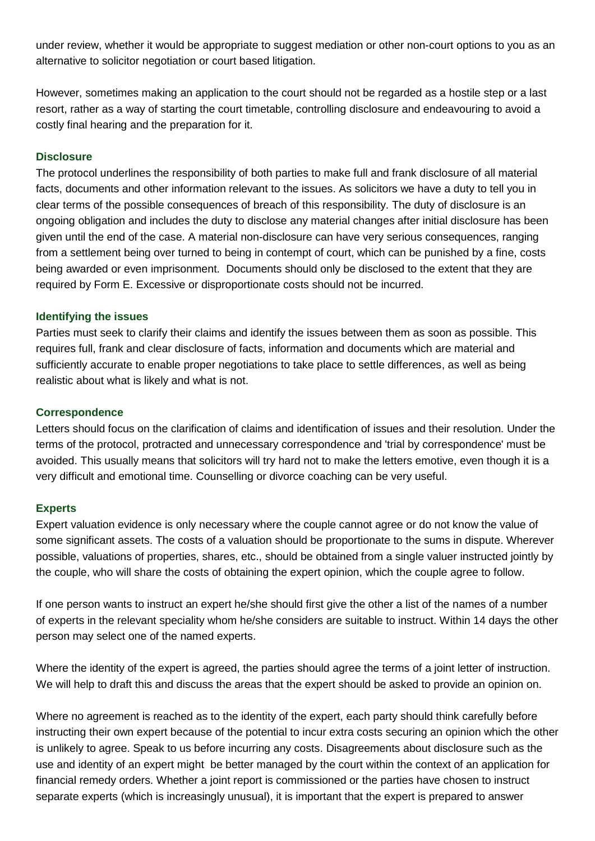under review, whether it would be appropriate to suggest mediation or other non-court options to you as an alternative to solicitor negotiation or court based litigation.

However, sometimes making an application to the court should not be regarded as a hostile step or a last resort, rather as a way of starting the court timetable, controlling disclosure and endeavouring to avoid a costly final hearing and the preparation for it.

#### **Disclosure**

The protocol underlines the responsibility of both parties to make full and frank disclosure of all material facts, documents and other information relevant to the issues. As solicitors we have a duty to tell you in clear terms of the possible consequences of breach of this responsibility. The duty of disclosure is an ongoing obligation and includes the duty to disclose any material changes after initial disclosure has been given until the end of the case. A material non-disclosure can have very serious consequences, ranging from a settlement being over turned to being in contempt of court, which can be punished by a fine, costs being awarded or even imprisonment. Documents should only be disclosed to the extent that they are required by Form E. Excessive or disproportionate costs should not be incurred.

#### **Identifying the issues**

Parties must seek to clarify their claims and identify the issues between them as soon as possible. This requires full, frank and clear disclosure of facts, information and documents which are material and sufficiently accurate to enable proper negotiations to take place to settle differences, as well as being realistic about what is likely and what is not.

#### **Correspondence**

Letters should focus on the clarification of claims and identification of issues and their resolution. Under the terms of the protocol, protracted and unnecessary correspondence and 'trial by correspondence' must be avoided. This usually means that solicitors will try hard not to make the letters emotive, even though it is a very difficult and emotional time. Counselling or divorce coaching can be very useful.

#### **Experts**

Expert valuation evidence is only necessary where the couple cannot agree or do not know the value of some significant assets. The costs of a valuation should be proportionate to the sums in dispute. Wherever possible, valuations of properties, shares, etc., should be obtained from a single valuer instructed jointly by the couple, who will share the costs of obtaining the expert opinion, which the couple agree to follow.

If one person wants to instruct an expert he/she should first give the other a list of the names of a number of experts in the relevant speciality whom he/she considers are suitable to instruct. Within 14 days the other person may select one of the named experts.

Where the identity of the expert is agreed, the parties should agree the terms of a joint letter of instruction. We will help to draft this and discuss the areas that the expert should be asked to provide an opinion on.

Where no agreement is reached as to the identity of the expert, each party should think carefully before instructing their own expert because of the potential to incur extra costs securing an opinion which the other is unlikely to agree. Speak to us before incurring any costs. Disagreements about disclosure such as the use and identity of an expert might be better managed by the court within the context of an application for financial remedy orders. Whether a joint report is commissioned or the parties have chosen to instruct separate experts (which is increasingly unusual), it is important that the expert is prepared to answer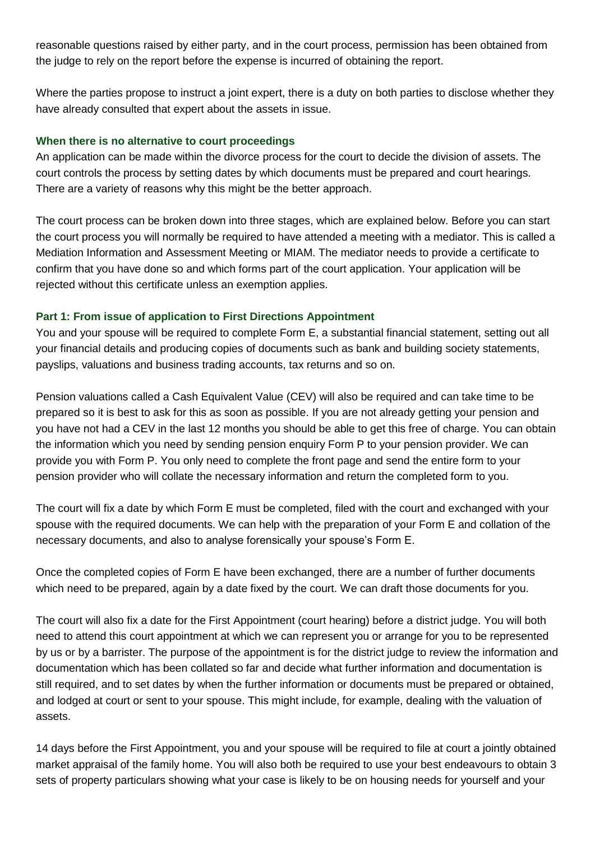reasonable questions raised by either party, and in the court process, permission has been obtained from the judge to rely on the report before the expense is incurred of obtaining the report.

Where the parties propose to instruct a joint expert, there is a duty on both parties to disclose whether they have already consulted that expert about the assets in issue.

#### **When there is no alternative to court proceedings**

An application can be made within the divorce process for the court to decide the division of assets. The court controls the process by setting dates by which documents must be prepared and court hearings. There are a variety of reasons why this might be the better approach.

The court process can be broken down into three stages, which are explained below. Before you can start the court process you will normally be required to have attended a meeting with a mediator. This is called a Mediation Information and Assessment Meeting or MIAM. The mediator needs to provide a certificate to confirm that you have done so and which forms part of the court application. Your application will be rejected without this certificate unless an exemption applies.

#### **Part 1: From issue of application to First Directions Appointment**

You and your spouse will be required to complete Form E, a substantial financial statement, setting out all your financial details and producing copies of documents such as bank and building society statements, payslips, valuations and business trading accounts, tax returns and so on.

Pension valuations called a Cash Equivalent Value (CEV) will also be required and can take time to be prepared so it is best to ask for this as soon as possible. If you are not already getting your pension and you have not had a CEV in the last 12 months you should be able to get this free of charge. You can obtain the information which you need by sending pension enquiry Form P to your pension provider. We can provide you with Form P. You only need to complete the front page and send the entire form to your pension provider who will collate the necessary information and return the completed form to you.

The court will fix a date by which Form E must be completed, filed with the court and exchanged with your spouse with the required documents. We can help with the preparation of your Form E and collation of the necessary documents, and also to analyse forensically your spouse's Form E.

Once the completed copies of Form E have been exchanged, there are a number of further documents which need to be prepared, again by a date fixed by the court. We can draft those documents for you.

The court will also fix a date for the First Appointment (court hearing) before a district judge. You will both need to attend this court appointment at which we can represent you or arrange for you to be represented by us or by a barrister. The purpose of the appointment is for the district judge to review the information and documentation which has been collated so far and decide what further information and documentation is still required, and to set dates by when the further information or documents must be prepared or obtained, and lodged at court or sent to your spouse. This might include, for example, dealing with the valuation of assets.

14 days before the First Appointment, you and your spouse will be required to file at court a jointly obtained market appraisal of the family home. You will also both be required to use your best endeavours to obtain 3 sets of property particulars showing what your case is likely to be on housing needs for yourself and your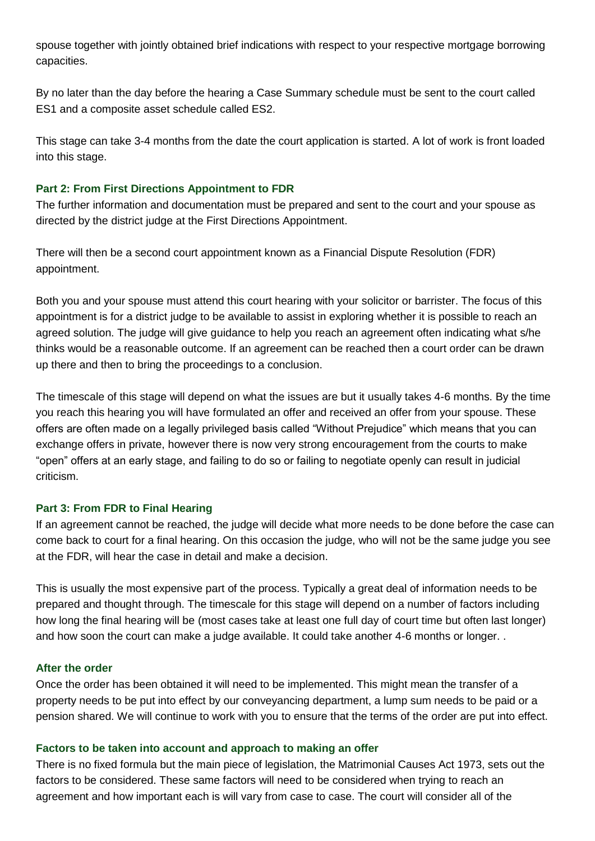spouse together with jointly obtained brief indications with respect to your respective mortgage borrowing capacities.

By no later than the day before the hearing a Case Summary schedule must be sent to the court called ES1 and a composite asset schedule called ES2.

This stage can take 3-4 months from the date the court application is started. A lot of work is front loaded into this stage.

#### **Part 2: From First Directions Appointment to FDR**

The further information and documentation must be prepared and sent to the court and your spouse as directed by the district judge at the First Directions Appointment.

There will then be a second court appointment known as a Financial Dispute Resolution (FDR) appointment.

Both you and your spouse must attend this court hearing with your solicitor or barrister. The focus of this appointment is for a district judge to be available to assist in exploring whether it is possible to reach an agreed solution. The judge will give guidance to help you reach an agreement often indicating what s/he thinks would be a reasonable outcome. If an agreement can be reached then a court order can be drawn up there and then to bring the proceedings to a conclusion.

The timescale of this stage will depend on what the issues are but it usually takes 4-6 months. By the time you reach this hearing you will have formulated an offer and received an offer from your spouse. These offers are often made on a legally privileged basis called "Without Prejudice" which means that you can exchange offers in private, however there is now very strong encouragement from the courts to make "open" offers at an early stage, and failing to do so or failing to negotiate openly can result in judicial criticism.

#### **Part 3: From FDR to Final Hearing**

If an agreement cannot be reached, the judge will decide what more needs to be done before the case can come back to court for a final hearing. On this occasion the judge, who will not be the same judge you see at the FDR, will hear the case in detail and make a decision.

This is usually the most expensive part of the process. Typically a great deal of information needs to be prepared and thought through. The timescale for this stage will depend on a number of factors including how long the final hearing will be (most cases take at least one full day of court time but often last longer) and how soon the court can make a judge available. It could take another 4-6 months or longer. .

#### **After the order**

Once the order has been obtained it will need to be implemented. This might mean the transfer of a property needs to be put into effect by our conveyancing department, a lump sum needs to be paid or a pension shared. We will continue to work with you to ensure that the terms of the order are put into effect.

#### **Factors to be taken into account and approach to making an offer**

There is no fixed formula but the main piece of legislation, the Matrimonial Causes Act 1973, sets out the factors to be considered. These same factors will need to be considered when trying to reach an agreement and how important each is will vary from case to case. The court will consider all of the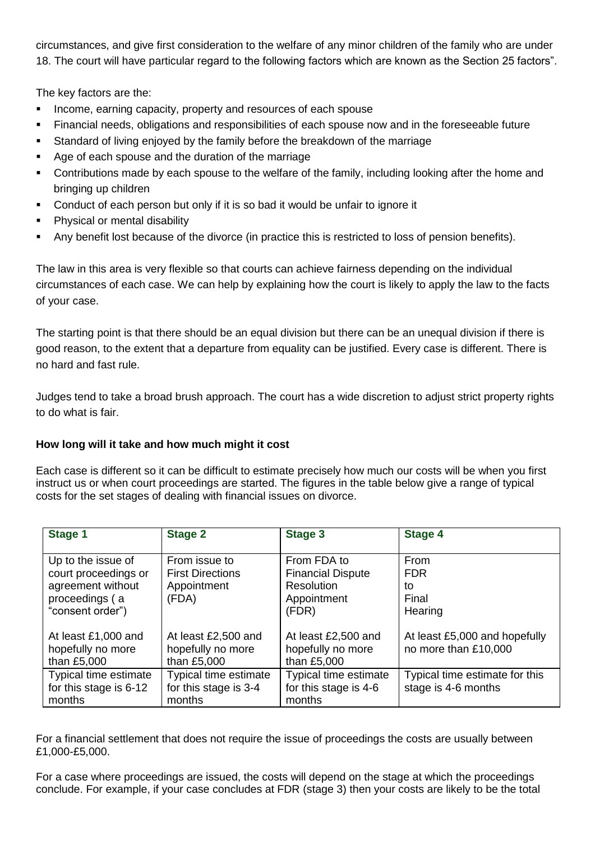circumstances, and give first consideration to the welfare of any minor children of the family who are under 18. The court will have particular regard to the following factors which are known as the Section 25 factors".

The key factors are the:

- **Income, earning capacity, property and resources of each spouse**
- Financial needs, obligations and responsibilities of each spouse now and in the foreseeable future
- Standard of living enjoyed by the family before the breakdown of the marriage
- Age of each spouse and the duration of the marriage
- Contributions made by each spouse to the welfare of the family, including looking after the home and bringing up children
- Conduct of each person but only if it is so bad it would be unfair to ignore it
- Physical or mental disability
- Any benefit lost because of the divorce (in practice this is restricted to loss of pension benefits).

The law in this area is very flexible so that courts can achieve fairness depending on the individual circumstances of each case. We can help by explaining how the court is likely to apply the law to the facts of your case.

The starting point is that there should be an equal division but there can be an unequal division if there is good reason, to the extent that a departure from equality can be justified. Every case is different. There is no hard and fast rule.

Judges tend to take a broad brush approach. The court has a wide discretion to adjust strict property rights to do what is fair.

#### **How long will it take and how much might it cost**

Each case is different so it can be difficult to estimate precisely how much our costs will be when you first instruct us or when court proceedings are started. The figures in the table below give a range of typical costs for the set stages of dealing with financial issues on divorce.

| Stage 1                | <b>Stage 2</b>          | <b>Stage 3</b>           | Stage 4                        |
|------------------------|-------------------------|--------------------------|--------------------------------|
|                        |                         |                          |                                |
| Up to the issue of     | From issue to           | From FDA to              | From                           |
| court proceedings or   | <b>First Directions</b> | <b>Financial Dispute</b> | <b>FDR</b>                     |
| agreement without      | Appointment             | <b>Resolution</b>        | to                             |
| proceedings (a         | (FDA)                   | Appointment              | Final                          |
| "consent order")       |                         | (FDR)                    | Hearing                        |
|                        |                         |                          |                                |
| At least £1,000 and    | At least £2,500 and     | At least £2,500 and      | At least £5,000 and hopefully  |
| hopefully no more      | hopefully no more       | hopefully no more        | no more than £10,000           |
| than £5,000            | than £5,000             | than £5,000              |                                |
| Typical time estimate  | Typical time estimate   | Typical time estimate    | Typical time estimate for this |
| for this stage is 6-12 | for this stage is 3-4   | for this stage is 4-6    | stage is 4-6 months            |
| months                 | months                  | months                   |                                |

For a financial settlement that does not require the issue of proceedings the costs are usually between £1,000-£5,000.

For a case where proceedings are issued, the costs will depend on the stage at which the proceedings conclude. For example, if your case concludes at FDR (stage 3) then your costs are likely to be the total